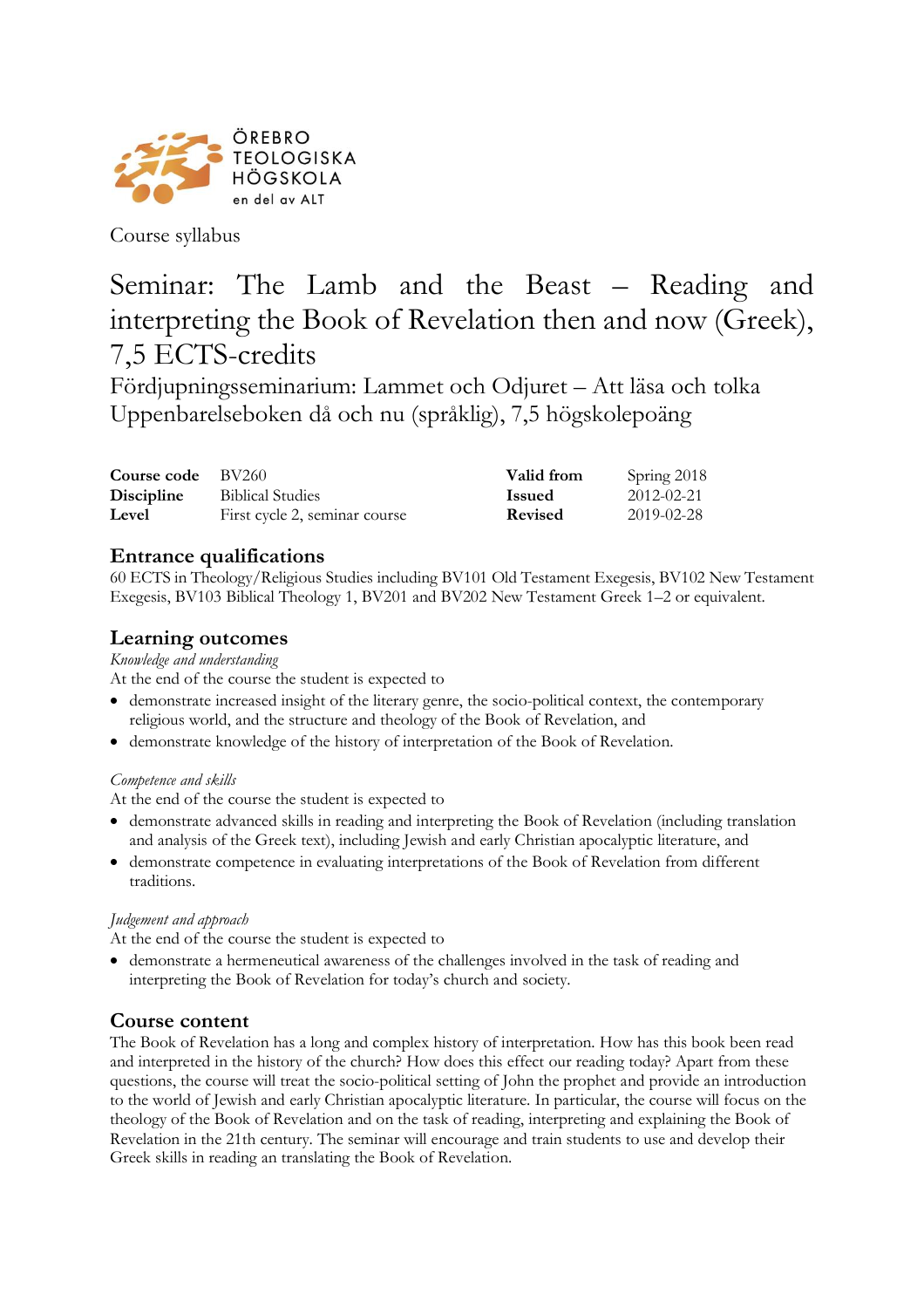

Course syllabus

# Seminar: The Lamb and the Beast – Reading and interpreting the Book of Revelation then and now (Greek), 7,5 ECTS-credits

Fördjupningsseminarium: Lammet och Odjuret – Att läsa och tolka Uppenbarelseboken då och nu (språklig), 7,5 högskolepoäng

| <b>Course code</b> BV260 |                               | Valid from    | Spring 2018 |
|--------------------------|-------------------------------|---------------|-------------|
| <b>Discipline</b>        | <b>Biblical Studies</b>       | <b>Issued</b> | 2012-02-21  |
| Level                    | First cycle 2, seminar course | Revised       | 2019-02-28  |

# **Entrance qualifications**

60 ECTS in Theology/Religious Studies including BV101 Old Testament Exegesis, BV102 New Testament Exegesis, BV103 Biblical Theology 1, BV201 and BV202 New Testament Greek 1–2 or equivalent.

## **Learning outcomes**

#### *Knowledge and understanding*

At the end of the course the student is expected to

- demonstrate increased insight of the literary genre, the socio-political context, the contemporary religious world, and the structure and theology of the Book of Revelation, and
- demonstrate knowledge of the history of interpretation of the Book of Revelation.

#### *Competence and skills*

At the end of the course the student is expected to

- demonstrate advanced skills in reading and interpreting the Book of Revelation (including translation and analysis of the Greek text), including Jewish and early Christian apocalyptic literature, and
- demonstrate competence in evaluating interpretations of the Book of Revelation from different traditions.

#### *Judgement and approach*

At the end of the course the student is expected to

• demonstrate a hermeneutical awareness of the challenges involved in the task of reading and interpreting the Book of Revelation for today's church and society.

## **Course content**

The Book of Revelation has a long and complex history of interpretation. How has this book been read and interpreted in the history of the church? How does this effect our reading today? Apart from these questions, the course will treat the socio-political setting of John the prophet and provide an introduction to the world of Jewish and early Christian apocalyptic literature. In particular, the course will focus on the theology of the Book of Revelation and on the task of reading, interpreting and explaining the Book of Revelation in the 21th century. The seminar will encourage and train students to use and develop their Greek skills in reading an translating the Book of Revelation.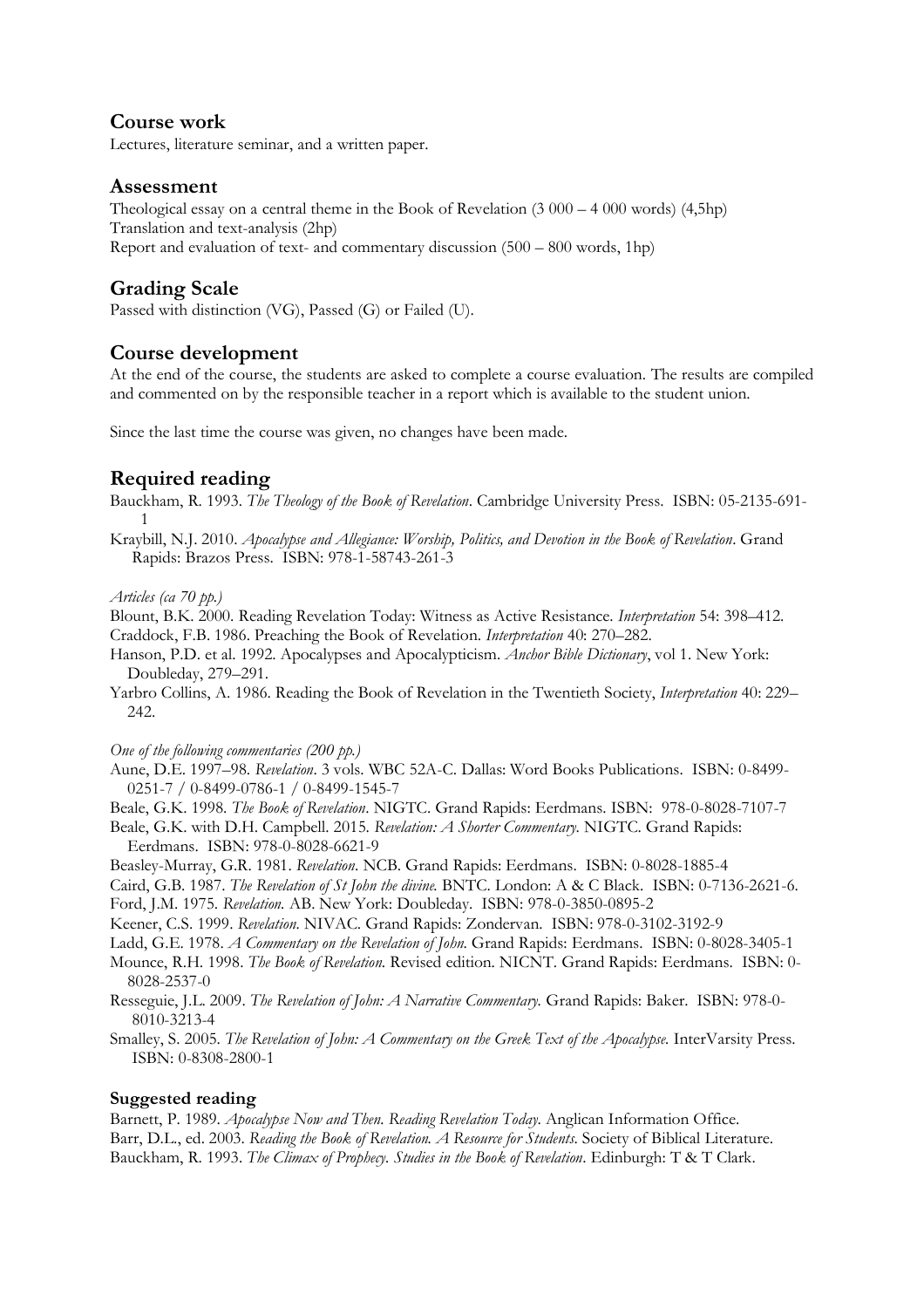#### **Course work**

Lectures, literature seminar, and a written paper.

## **Assessment**

Theological essay on a central theme in the Book of Revelation (3 000 – 4 000 words) (4,5hp) Translation and text-analysis (2hp) Report and evaluation of text- and commentary discussion (500 – 800 words, 1hp)

# **Grading Scale**

Passed with distinction (VG), Passed (G) or Failed (U).

## **Course development**

At the end of the course, the students are asked to complete a course evaluation. The results are compiled and commented on by the responsible teacher in a report which is available to the student union.

Since the last time the course was given, no changes have been made.

# **Required reading**

Bauckham, R. 1993*. The Theology of the Book of Revelation*. Cambridge University Press. ISBN: 05-2135-691- 1

Kraybill, N.J. 2010. *Apocalypse and Allegiance: Worship, Politics, and Devotion in the Book of Revelation*. Grand Rapids: Brazos Press. ISBN: 978-1-58743-261-3

#### *Articles (ca 70 pp.)*

Blount, B.K. 2000. Reading Revelation Today: Witness as Active Resistance. *Interpretation* 54: 398–412. Craddock, F.B. 1986. Preaching the Book of Revelation. *Interpretation* 40: 270–282.

- Hanson, P.D. et al. 1992. Apocalypses and Apocalypticism. *Anchor Bible Dictionary*, vol 1. New York: Doubleday, 279–291.
- Yarbro Collins, A. 1986. Reading the Book of Revelation in the Twentieth Society, *Interpretation* 40: 229– 242.

#### *One of the following commentaries (200 pp.)*

- Aune, D.E. 1997–98. *Revelation*. 3 vols. WBC 52A-C. Dallas: Word Books Publications. ISBN: 0-8499- 0251-7 / 0-8499-0786-1 / 0-8499-1545-7
- Beale, G.K. 1998. *The Book of Revelation*. NIGTC. Grand Rapids: Eerdmans. ISBN: 978-0-8028-7107-7
- Beale, G.K. with D.H. Campbell. 2015. *Revelation: A Shorter Commentary*. NIGTC. Grand Rapids: Eerdmans. ISBN: 978-0-8028-6621-9
- Beasley-Murray, G.R. 1981. *Revelation*. NCB. Grand Rapids: Eerdmans. ISBN: 0-8028-1885-4
- Caird, G.B. 1987. *The Revelation of St John the divine.* BNTC. London: A & C Black. ISBN: 0-7136-2621-6.

Ford, J.M. 1975. *Revelation.* AB. New York: Doubleday. ISBN: 978-0-3850-0895-2

Keener, C.S. 1999. *Revelation.* NIVAC. Grand Rapids: Zondervan. ISBN: 978-0-3102-3192-9

- Ladd, G.E. 1978. *A Commentary on the Revelation of John*. Grand Rapids: Eerdmans. ISBN: 0-8028-3405-1
- Mounce, R.H. 1998. *The Book of Revelation*. Revised edition. NICNT. Grand Rapids: Eerdmans. ISBN: 0- 8028-2537-0
- Resseguie, J.L. 2009. *The Revelation of John: A Narrative Commentary.* Grand Rapids: Baker. ISBN: 978-0- 8010-3213-4

Smalley, S. 2005. *The Revelation of John: A Commentary on the Greek Text of the Apocalypse.* InterVarsity Press. ISBN: 0-8308-2800-1

#### **Suggested reading**

Barnett, P. 1989. *Apocalypse Now and Then. Reading Revelation Today*. Anglican Information Office. Barr, D.L., ed. 2003. *Reading the Book of Revelation. A Resource for Students*. Society of Biblical Literature. Bauckham, R. 1993. *The Climax of Prophecy. Studies in the Book of Revelation*. Edinburgh: T & T Clark.